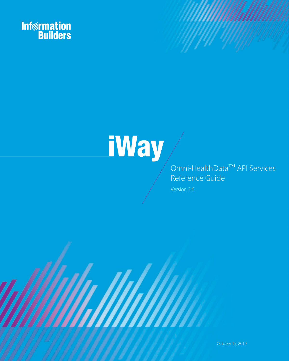



### Omni-HealthData™ API Services Reference Guide

Version 3.6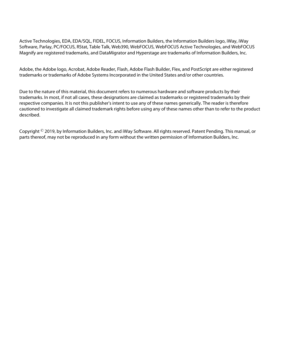Active Technologies, EDA, EDA/SQL, FIDEL, FOCUS, Information Builders, the Information Builders logo, iWay, iWay Software, Parlay, PC/FOCUS, RStat, Table Talk, Web390, WebFOCUS, WebFOCUS Active Technologies, and WebFOCUS Magnify are registered trademarks, and DataMigrator and Hyperstage are trademarks of Information Builders, Inc.

Adobe, the Adobe logo, Acrobat, Adobe Reader, Flash, Adobe Flash Builder, Flex, and PostScript are either registered trademarks or trademarks of Adobe Systems Incorporated in the United States and/or other countries.

Due to the nature of this material, this document refers to numerous hardware and software products by their trademarks. In most, if not all cases, these designations are claimed as trademarks or registered trademarks by their respective companies. It is not this publisher's intent to use any of these names generically. The reader is therefore cautioned to investigate all claimed trademark rights before using any of these names other than to refer to the product described.

Copyright © 2019, by Information Builders, Inc. and iWay Software. All rights reserved. Patent Pending. This manual, or parts thereof, may not be reproduced in any form without the written permission of Information Builders, Inc.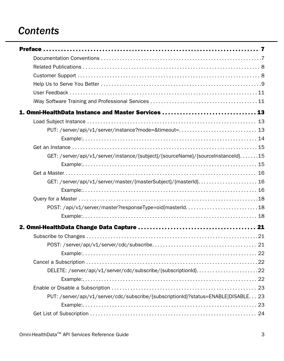## *Contents*

| 1. Omni-HealthData Instance and Master Services  13                                |  |
|------------------------------------------------------------------------------------|--|
|                                                                                    |  |
| PUT: /server/api/v1/server/instance?mode=&timeout= 13                              |  |
|                                                                                    |  |
|                                                                                    |  |
| GET: /server/api/v1/server/instance/{subject}/{sourceName}/{sourceInstanceId}15    |  |
|                                                                                    |  |
|                                                                                    |  |
| GET: /server/api/v1/server/master/{masterSubject}/{masterId} 16                    |  |
|                                                                                    |  |
|                                                                                    |  |
| POST: /api/v1/server/master?responseType=oid masterId18                            |  |
|                                                                                    |  |
|                                                                                    |  |
|                                                                                    |  |
|                                                                                    |  |
|                                                                                    |  |
|                                                                                    |  |
| DELETE: /server/api/v1/server/cdc/subscribe/{subscriptionId}22                     |  |
|                                                                                    |  |
|                                                                                    |  |
| PUT: /server/api/v1/server/cdc/subscribe/{subscriptionId}?status=ENABLE DISABLE 23 |  |
|                                                                                    |  |
|                                                                                    |  |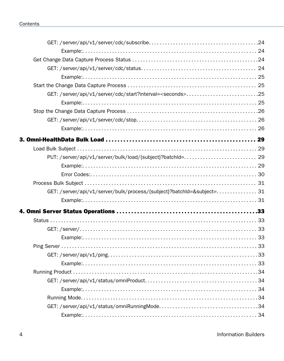| GET: /server/api/v1/server/cdc/start?interval= <seconds>25</seconds>  |  |
|-----------------------------------------------------------------------|--|
|                                                                       |  |
|                                                                       |  |
|                                                                       |  |
|                                                                       |  |
|                                                                       |  |
|                                                                       |  |
|                                                                       |  |
|                                                                       |  |
|                                                                       |  |
|                                                                       |  |
| GET: /server/api/v1/server/bulk/process/{subject}?batchId=&subject=31 |  |
|                                                                       |  |
|                                                                       |  |
|                                                                       |  |
|                                                                       |  |
|                                                                       |  |
|                                                                       |  |
|                                                                       |  |
|                                                                       |  |
|                                                                       |  |
|                                                                       |  |
|                                                                       |  |
|                                                                       |  |
|                                                                       |  |
|                                                                       |  |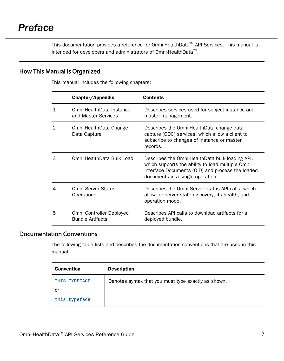<span id="page-6-0"></span>This documentation provides a reference for Omni-HealthData™ API Services. This manual is intended for developers and administrators of Omni-HealthData™.

#### How This Manual Is Organized

This manual includes the following chapters:

|   | Chapter/Appendix                                    | Contents                                                                                                                                                                                    |
|---|-----------------------------------------------------|---------------------------------------------------------------------------------------------------------------------------------------------------------------------------------------------|
| 1 | Omni-HealthData Instance<br>and Master Services     | Describes services used for subject instance and<br>master management.                                                                                                                      |
| 2 | Omni-HealthData Change<br>Data Capture              | Describes the Omni-HealthData change data<br>capture (CDC) services, which allow a client to<br>subscribe to changes of instance or master<br>records.                                      |
| З | Omni-HealthData Bulk Load                           | Describes the Omni-HealthData bulk loading API,<br>which supports the ability to load multiple Omni<br>Interface Documents (OID) and process the loaded<br>documents in a single operation. |
| 4 | Omni Server Status<br>Operations                    | Describes the Omni Server status API calls, which<br>allow for server state discovery, its health, and<br>operation mode.                                                                   |
| 5 | Omni Controller Deployed<br><b>Bundle Artifacts</b> | Describes API calls to download artifacts for a<br>deployed bundle.                                                                                                                         |

#### Documentation Conventions

The following table lists and describes the documentation conventions that are used in this manual.

| <b>Convention</b> | <b>Description</b>                                  |
|-------------------|-----------------------------------------------------|
| THIS TYPEFACE     | Denotes syntax that you must type exactly as shown. |
| or                |                                                     |
| this typeface     |                                                     |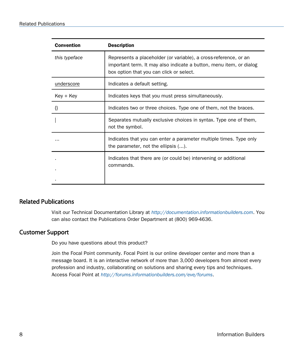<span id="page-7-0"></span>

| <b>Convention</b> | <b>Description</b>                                                                                                                                                                  |
|-------------------|-------------------------------------------------------------------------------------------------------------------------------------------------------------------------------------|
| this typeface     | Represents a placeholder (or variable), a cross-reference, or an<br>important term. It may also indicate a button, menu item, or dialog<br>box option that you can click or select. |
| underscore        | Indicates a default setting.                                                                                                                                                        |
| Key + Key         | Indicates keys that you must press simultaneously.                                                                                                                                  |
|                   | Indicates two or three choices. Type one of them, not the braces.                                                                                                                   |
|                   | Separates mutually exclusive choices in syntax. Type one of them,<br>not the symbol.                                                                                                |
|                   | Indicates that you can enter a parameter multiple times. Type only<br>the parameter, not the ellipsis ().                                                                           |
|                   | Indicates that there are (or could be) intervening or additional<br>commands.                                                                                                       |

### Related Publications

Visit our Technical Documentation Library at *[http://documentation.informationbuilders.com](http://www.iwaysoftware.com)*. You can also contact the Publications Order Department at (800) 969-4636.

#### Customer Support

Do you have questions about this product?

Join the Focal Point community. Focal Point is our online developer center and more than a message board. It is an interactive network of more than 3,000 developers from almost every profession and industry, collaborating on solutions and sharing every tips and techniques. Access Focal Point at *<http://forums.informationbuilders.com/eve/forums>*.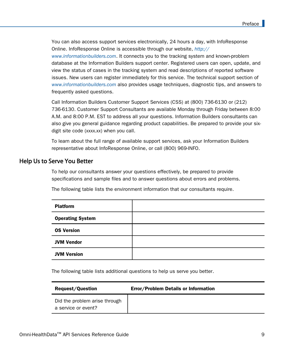<span id="page-8-0"></span>You can also access support services electronically, 24 hours a day, with InfoResponse Online. InfoResponse Online is accessible through our website, *[http://](http://techsupport.iwaysoftware.com/) [www.informationbuilders.com](http://techsupport.iwaysoftware.com/)*. It connects you to the tracking system and known-problem database at the Information Builders support center. Registered users can open, update, and view the status of cases in the tracking system and read descriptions of reported software issues. New users can register immediately for this service. The technical support section of *[www.informationbuilders.com](http://techsupport.iwaysoftware.com/)* also provides usage techniques, diagnostic tips, and answers to frequently asked questions.

Call Information Builders Customer Support Services (CSS) at (800) 736-6130 or (212) 736-6130. Customer Support Consultants are available Monday through Friday between 8:00 A.M. and 8:00 P.M. EST to address all your questions. Information Builders consultants can also give you general guidance regarding product capabilities. Be prepared to provide your sixdigit site code (*xxxx.xx*) when you call.

To learn about the full range of available support services, ask your Information Builders representative about InfoResponse Online, or call (800) 969-INFO.

#### Help Us to Serve You Better

To help our consultants answer your questions effectively, be prepared to provide specifications and sample files and to answer questions about errors and problems.

The following table lists the environment information that our consultants require.

| <b>Platform</b>         |  |
|-------------------------|--|
| <b>Operating System</b> |  |
| <b>OS Version</b>       |  |
| <b>JVM Vendor</b>       |  |
| <b>JVM Version</b>      |  |

The following table lists additional questions to help us serve you better.

| <b>Request/Question</b>                              | <b>Error/Problem Details or Information</b> |
|------------------------------------------------------|---------------------------------------------|
| Did the problem arise through<br>a service or event? |                                             |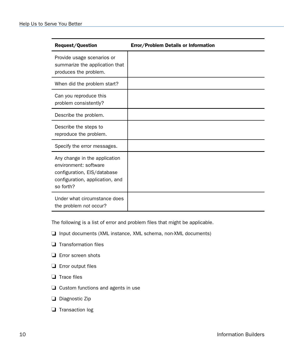| <b>Request/Question</b>                                                                                                               | Error/Problem Details or Information |
|---------------------------------------------------------------------------------------------------------------------------------------|--------------------------------------|
| Provide usage scenarios or<br>summarize the application that<br>produces the problem.                                                 |                                      |
| When did the problem start?                                                                                                           |                                      |
| Can you reproduce this<br>problem consistently?                                                                                       |                                      |
| Describe the problem.                                                                                                                 |                                      |
| Describe the steps to<br>reproduce the problem.                                                                                       |                                      |
| Specify the error messages.                                                                                                           |                                      |
| Any change in the application<br>environment: software<br>configuration, EIS/database<br>configuration, application, and<br>so forth? |                                      |
| Under what circumstance does<br>the problem not occur?                                                                                |                                      |

The following is a list of error and problem files that might be applicable.

- □ Input documents (XML instance, XML schema, non-XML documents)
- $\Box$  Transformation files
- **E** Error screen shots
- $\Box$  Error output files
- $\Box$  Trace files
- $\Box$  Custom functions and agents in use
- Diagnostic Zip
- Transaction log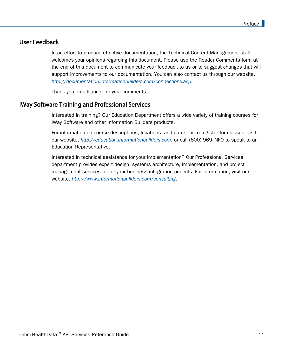#### <span id="page-10-0"></span>User Feedback

In an effort to produce effective documentation, the Technical Content Management staff welcomes your opinions regarding this document. Please use the Reader Comments form at the end of this document to communicate your feedback to us or to suggest changes that will support improvements to our documentation. You can also contact us through our website, *[http://documentation.informationbuilders.com/connections.asp](http://www.iwaysoftware.com)*.

Thank you, in advance, for your comments.

#### iWay Software Training and Professional Services

Interested in training? Our Education Department offers a wide variety of training courses for iWay Software and other Information Builders products.

For information on course descriptions, locations, and dates, or to register for classes, visit our website, *<http://education.informationbuilders.com>*, or call (800) 969-INFO to speak to an Education Representative.

Interested in technical assistance for your implementation? Our Professional Services department provides expert design, systems architecture, implementation, and project management services for all your business integration projects. For information, visit our website, *<http://www.informationbuilders.com/consulting>*.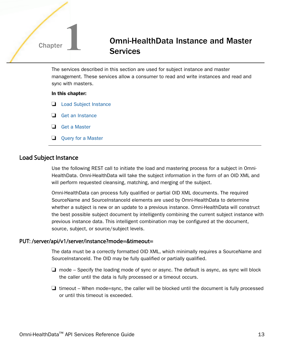### <span id="page-12-0"></span>**Chapter 1 Chapter 1** Omni-HealthData Instance and Master **Services**

The services described in this section are used for subject instance and master management. These services allow a consumer to read and write instances and read and sync with masters.

#### In this chapter:

- **Load Subject Instance**
- $\Box$  [Get an Instance](#page-14-0)
- □ [Get a Master](#page-15-0)
- $\Box$  [Query for a Master](#page-17-0)

#### Load Subject Instance

Use the following REST call to initiate the load and mastering process for a subject in Omni-HealthData. Omni-HealthData will take the subject information in the form of an OID XML and will perform requested cleansing, matching, and merging of the subject.

Omni-HealthData can process fully qualified or partial OID XML documents. The required SourceName and SourceInstanceId elements are used by Omni-HealthData to determine whether a subject is new or an update to a previous instance. Omni-HealthData will construct the best possible subject document by intelligently combining the current subject instance with previous instance data. This intelligent combination may be configured at the document, source, subject, or source/subject levels.

#### PUT: /server/api/v1/server/instance?mode=&timeout=

The data must be a correctly formatted OID XML, which minimally requires a SourceName and SourceInstanceId. The OID may be fully qualified or partially qualified.

- $\Box$  mode Specify the loading mode of sync or async. The default is async, as sync will block the caller until the data is fully processed or a timeout occurs.
- $\Box$  timeout When mode=sync, the caller will be blocked until the document is fully processed or until this timeout is exceeded.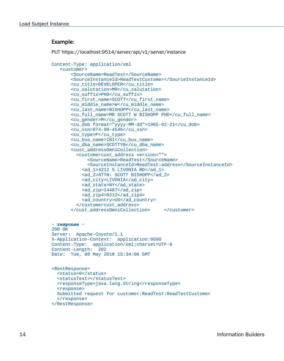#### <span id="page-13-0"></span>Example:

```
PUT https://localhost:9514/server/api/v1/server/instance
```

```
Content-Type: application/xml
    <customer>
        <SourceName>ReadTest</SourceName>
        <SourceInstanceId>ReadTestCustomer</SourceInstanceId>
        <cu_title>DEVELOPER</cu_title>
        <cu_salutation>MR</cu_salutation>
        <cu_suffix>PHD</cu_suffix>
        <cu_first_name>SCOTT</cu_first_name>
        <cu_middle_name>W</cu_middle_name>
        <cu_last_name>BISHOPP</cu_last_name>
        <cu_full_name>MR SCOTT W BISHOPP PHD</cu_full_name>
        <cu_gender>M</cu_gender>
        <cu_dob format="yyyy-MM-dd">1965-02-21</cu_dob>
        <cu_ssn>874-98-4546</cu_ssn>
        <cu_type>P</cu_type>
        <cu_bus_name>IBI</cu_bus_name>
        <cu_dba_name>SCOTTYB</cu_dba_name>
        <cust_addressOmniCollection>
          <customercust_address version="">
              <SourceName>ReadTest</SourceName>
              <SourceInstanceId>ReadTest:address</SourceInstanceId>
            <ad_1>4212 S LIVONIA RD</ad_1>
            <ad_2>ATTN: SCOTT BISHOPP</ad_2>
            <ad_city>LIVONIA</ad_city>
            <ad_state>NY</ad_state>
            <ad_zip>14487</ad_zip>
           <sub>ad</sub> zip4>0212</ad zip4></sub>
            <ad_country>US</ad_country>
          </customercust_address>
        </cust_addressOmniCollection> </customer>
- response -
200 OK
Server: Apache-Coyote/1.1
X-Application-Context: application:9500
Content-Type: application/xml;charset=UTF-8
Content-Length: 202
Date: Tue, 08 May 2018 15:34:06 GMT
<RestResponse> 
   <status>0</status> 
   <statusText></statusText> 
   <responseType>java.lang.String</responseType> 
   <response>
   Submitted request for customer:ReadTest:ReadTestCustomer
   </response>
</RestResponse>
```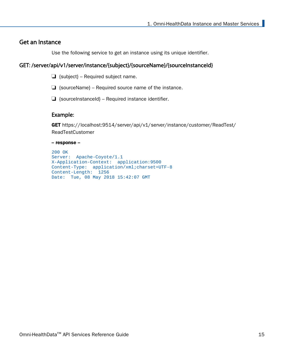#### <span id="page-14-0"></span>Get an Instance

Use the following service to get an instance using its unique identifier.

#### GET: /server/api/v1/server/instance/{subject}/{sourceName}/{sourceInstanceId}

- $\Box$  {subject} Required subject name.
- $\Box$  {sourceName} Required source name of the instance.
- $\Box$  {sourceInstanceId} Required instance identifier.

#### Example:

GET https://localhost:9514/server/api/v1/server/instance/customer/ReadTest/ ReadTestCustomer

#### -- response --

```
200 OK
Server: Apache-Coyote/1.1
X-Application-Context: application:9500
Content-Type: application/xml;charset=UTF-8
Content-Length: 1256
Date: Tue, 08 May 2018 15:42:07 GMT
```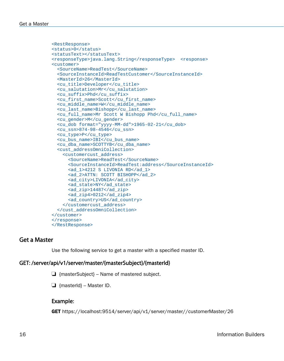```
<RestResponse> 
<status>0</status> 
<statusText></statusText> 
<responseType>java.lang.String</responseType> <response>
<customer>
   <SourceName>ReadTest</SourceName> 
   <SourceInstanceId>ReadTestCustomer</SourceInstanceId> 
   <MasterId>26</MasterId> 
   <cu_title>Developer</cu_title> 
   <cu_salutation>Mr</cu_salutation> 
   <cu_suffix>Phd</cu_suffix> 
   <cu_first_name>Scott</cu_first_name> 
   <cu_middle_name>W</cu_middle_name> 
   <cu_last_name>Bishopp</cu_last_name> 
   <cu_full_name>Mr Scott W Bishopp Phd</cu_full_name> 
   <cu_gender>M</cu_gender> 
   <cu_dob format="yyyy-MM-dd">1965-02-21</cu_dob> 
   <cu_ssn>874-98-4546</cu_ssn> 
   <cu_type>P</cu_type> 
   <cu_bus_name>IBI</cu_bus_name> 
   <cu_dba_name>SCOTTYB</cu_dba_name> 
   <cust_addressOmniCollection> 
     <customercust_address>
       <SourceName>ReadTest</SourceName> 
       <SourceInstanceId>ReadTest:address</SourceInstanceId> 
      <ad 1>4212 S LIVONIA RD</ad 1>
       <ad_2>ATTN: SCOTT BISHOPP</ad_2> 
       <ad_city>LIVONIA</ad_city> 
      <ad state>NY</ad state>
       <ad_zip>14487</ad_zip> 
       <ad_zip4>0212</ad_zip4> 
       <ad_country>US</ad_country> 
     </customercust_address>
   </cust_addressOmniCollection> 
</customer>
</response>
</RestResponse>
```
#### Get a Master

Use the following service to get a master with a specified master ID.

#### GET: /server/api/v1/server/master/{masterSubject}/{masterId}

 $\Box$  {masterSubject} – Name of mastered subject.

 $\Box$  {masterId} – Master ID.

#### Example:

GET https://localhost:9514/server/api/v1/server/master//customerMaster/26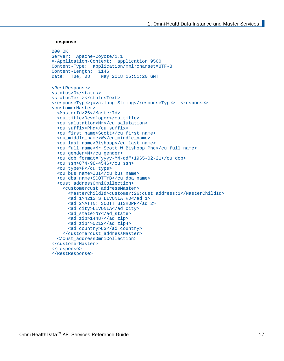```
-- response --
```

```
200 OK
Server: Apache-Coyote/1.1
X-Application-Context: application:9500
Content-Type: application/xml;charset=UTF-8
Content-Length: 1146<br>Date: Tue, 08 May
                 May 2018 15:51:20 GMT
<RestResponse> 
<status>0</status> 
<statusText></statusText> 
<responseType>java.lang.String</responseType> <response>
<customerMaster>
   <MasterId>26</MasterId> 
   <cu_title>Developer</cu_title> 
   <cu_salutation>Mr</cu_salutation> 
   <cu_suffix>Phd</cu_suffix> 
   <cu_first_name>Scott</cu_first_name> 
   <cu_middle_name>W</cu_middle_name> 
   <cu_last_name>Bishopp</cu_last_name> 
   <cu_full_name>Mr Scott W Bishopp Phd</cu_full_name> 
   <cu_gender>M</cu_gender> 
   <cu_dob format="yyyy-MM-dd">1965-02-21</cu_dob> 
   <cu_ssn>874-98-4546</cu_ssn> 
   <cu_type>P</cu_type> 
   <cu_bus_name>IBI</cu_bus_name> 
   <cu_dba_name>SCOTTYB</cu_dba_name> 
   <cust_addressOmniCollection> 
     <customercust_addressMaster>
       <MasterChildId>customer:26:cust_address:1</MasterChildId> 
       <ad_1>4212 S LIVONIA RD</ad_1> 
       <ad_2>ATTN: SCOTT BISHOPP</ad_2> 
       <ad_city>LIVONIA</ad_city> 
       <ad_state>NY</ad_state> 
       <ad_zip>14487</ad_zip> 
      <sub>ad</sub> zip4>0212</ad zip4></sub>
       <ad_country>US</ad_country> 
     </customercust_addressMaster>
   </cust_addressOmniCollection> 
</customerMaster>
</response>
</RestResponse>
```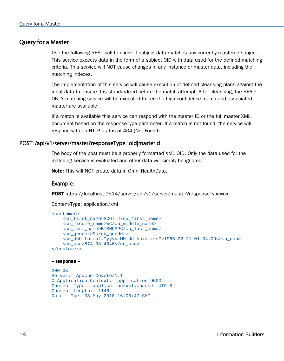#### <span id="page-17-0"></span>Query for a Master

Use the following REST call to check if subject data matches any currently mastered subject. This service expects data in the form of a subject OID with data used for the defined matching criteria. This service will NOT cause changes in any instance or master data, including the matching indexes.

The implementation of this service will cause execution of defined cleansing plans against the input data to ensure it is standardized before the match attempt. After cleansing, the READ ONLY matching service will be executed to see if a high confidence match and associated master are available.

If a match is available this service can respond with the master ID or the full master XML document based on the responseType parameter. If a match is not found, the service will respond with an HTTP status of 404 (Not Found).

#### POST: /api/v1/server/master?responseType=oid|masterId

The body of the post must be a properly formatted XML OID. Only the data used for the matching service is evaluated and other data will simply be ignored.

Note: This will NOT create data in Omni-HealthData.

#### Example:

POST https://localhost:9514/server/api/v1/server/master?responseType=oid

Content-Type: application/xml

```
<customer> 
     <cu_first_name>SCOTT</cu_first_name> 
     <cu_middle_name>W</cu_middle_name> 
     <cu_last_name>BISHOPP</cu_last_name> 
    <cu_gender>M</cu_gender> 
    <cu_dob format="yyyy-MM-dd hh:mm:ss">1965-02-21 01:34:09</cu_dob> 
     <cu_ssn>874-98-4546</cu_ssn> 
</customer>
```
#### -- response --

```
200 OK
Server: Apache-Coyote/1.1
X-Application-Context: application:9500
Content-Type: application/xml;charset=UTF-8
Content-Length: 1146
Date: Tue, 08 May 2018 16:00:47 GMT
```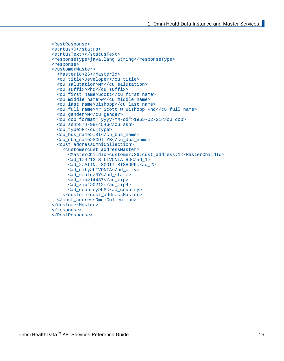```
<RestResponse> 
<status>0</status> 
<statusText></statusText> 
<responseType>java.lang.String</responseType> 
<response>
<customerMaster>
   <MasterId>26</MasterId> 
   <cu_title>Developer</cu_title> 
   <cu_salutation>Mr</cu_salutation> 
   <cu_suffix>Phd</cu_suffix> 
   <cu_first_name>Scott</cu_first_name> 
   <cu_middle_name>W</cu_middle_name> 
   <cu_last_name>Bishopp</cu_last_name> 
   <cu_full_name>Mr Scott W Bishopp Phd</cu_full_name> 
   <cu_gender>M</cu_gender> 
   <cu_dob format="yyyy-MM-dd">1965-02-21</cu_dob> 
   <cu_ssn>874-98-4546</cu_ssn> 
   <cu_type>P</cu_type> 
   <cu_bus_name>IBI</cu_bus_name> 
   <cu_dba_name>SCOTTYB</cu_dba_name> 
   <cust_addressOmniCollection> 
     <customercust_addressMaster>
       <MasterChildId>customer:26:cust_address:1</MasterChildId> 
       <ad_1>4212 S LIVONIA RD</ad_1> 
       <ad_2>ATTN: SCOTT BISHOPP</ad_2> 
       <ad_city>LIVONIA</ad_city> 
      <ad state>NY</ad state>
       <ad_zip>14487</ad_zip> 
      <sub>ad</sub> zip4>0212</ad zip4></sub>
       <ad_country>US</ad_country> 
     </customercust_addressMaster>
   </cust_addressOmniCollection> 
</customerMaster>
</response>
</RestResponse>
```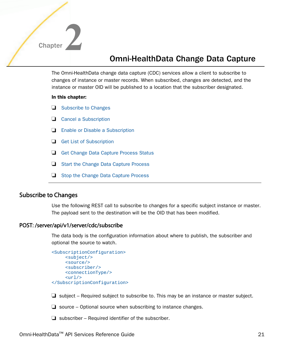<span id="page-20-0"></span>

### Omni-HealthData Change Data Capture

The Omni-HealthData change data capture (CDC) services allow a client to subscribe to changes of instance or master records. When subscribed, changes are detected, and the instance or master OID will be published to a location that the subscriber designated.

#### In this chapter:

- $\Box$  Subscribe to Changes
- **Q** [Cancel a Subscription](#page-21-0)
- [Enable or Disable a Subscription](#page-22-0)
- [Get List of Subscription](#page-23-0)
- [Get Change Data Capture Process Status](#page-23-0)
- [Start the Change Data Capture Process](#page-24-0)
- $\Box$  [Stop the Change Data Capture Process](#page-25-0)

#### Subscribe to Changes

Use the following REST call to subscribe to changes for a specific subject instance or master. The payload sent to the destination will be the OID that has been modified.

#### POST: /server/api/v1/server/cdc/subscribe

The data body is the configuration information about where to publish, the subscriber and optional the source to watch.

```
<SubscriptionConfiguration>
       <subject/>
       <source/>
       <subscriber/>
       <connectionType/>
      \langle \text{url}\rangle</SubscriptionConfiguration>
```
 $\Box$  subject – Required subject to subscribe to. This may be an instance or master subject.

 $\Box$  source – Optional source when subscribing to instance changes.

 $\Box$  subscriber – Required identifier of the subscriber.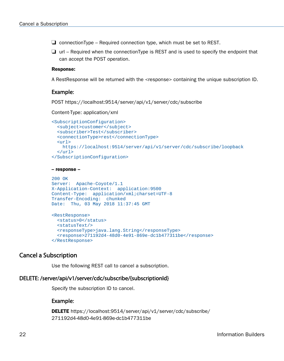<span id="page-21-0"></span> $\Box$  connectionType – Required connection type, which must be set to REST.

 $\Box$  url – Required when the connectionType is REST and is used to specify the endpoint that can accept the POST operation.

#### Response:

A RestResponse will be returned with the <response> containing the unique subscription ID.

#### Example:

POST https://localhost:9514/server/api/v1/server/cdc/subscribe

Content-Type: application/xml

```
<SubscriptionConfiguration>
   <subject>customer</subject>
   <subscriber>Test</subscriber>
   <connectionType>rest</connectionType> 
   <url>
     https://localhost:9514/server/api/v1/server/cdc/subscribe/loopback
  \langle \text{curl} \rangle</SubscriptionConfiguration>
```

```
-- response --
```

```
200 OK
Server: Apache-Coyote/1.1
X-Application-Context: application:9500
Content-Type: application/xml;charset=UTF-8
Transfer-Encoding: chunked
Date: Thu, 03 May 2018 11:37:45 GMT
<RestResponse>
  <status>0</status>
  <statusText/>
  <responseType>java.lang.String</responseType>
   <response>271192d4-48d0-4e91-869e-dc1b477311be</response>
</RestResponse>
```
#### Cancel a Subscription

Use the following REST call to cancel a subscription.

#### DELETE: /server/api/v1/server/cdc/subscribe/{subscriptionId}

Specify the subscription ID to cancel.

#### Example:

```
DELETE https://localhost:9514/server/api/v1/server/cdc/subscribe/
271192d4-48d0-4e91-869e-dc1b477311be
```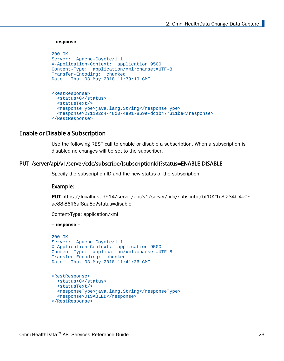```
-- response --
200 OK
Server: Apache-Coyote/1.1
X-Application-Context: application:9500
Content-Type: application/xml;charset=UTF-8
Transfer-Encoding: chunked
Date: Thu, 03 May 2018 11:39:19 GMT
<RestResponse>
  <status>0</status>
   <statusText/>
  <responseType>java.lang.String</responseType>
  <response>271192d4-48d0-4e91-869e-dc1b477311be</response>
</RestResponse>
```
#### Enable or Disable a Subscription

Use the following REST call to enable or disable a subscription. When a subscription is disabled no changes will be set to the subscriber.

#### PUT: /server/api/v1/server/cdc/subscribe/{subscriptionId}?status=ENABLE|DISABLE

Specify the subscription ID and the new status of the subscription.

#### Example:

PUT https://localhost:9514/server/api/v1/server/cdc/subscribe/5f1021c3-234b-4a05ae88-86ff6af8aa8e?status=disable

Content-Type: application/xml

-- response --

```
200 OK
Server: Apache-Coyote/1.1
X-Application-Context: application:9500
Content-Type: application/xml;charset=UTF-8
Transfer-Encoding: chunked
Date: Thu, 03 May 2018 11:41:36 GMT
<RestResponse>
  <status>0</status>
   <statusText/>
  <responseType>java.lang.String</responseType>
  <response>DISABLED</response>
```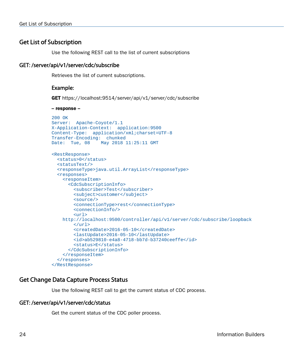#### <span id="page-23-0"></span>Get List of Subscription

Use the following REST call to the list of current subscriptions

#### GET: /server/api/v1/server/cdc/subscribe

Retrieves the list of current subscriptions.

#### Example:

GET https://localhost:9514/server/api/v1/server/cdc/subscribe

```
-- response --
200 OK
Server: Apache-Coyote/1.1
X-Application-Context: application:9500
Content-Type: application/xml;charset=UTF-8
Transfer-Encoding: chunked
Date: Tue, 08 May 2018 11:25:11 GMT
<RestResponse>
   <status>0</status>
   <statusText/>
   <responseType>java.util.ArrayList</responseType>
   <responses>
     <responseItem>
       <CdcSubscriptionInfo>
         <subscriber>Test</subscriber>
         <subject>customer</subject>
         <source/>
         <connectionType>rest</connectionType>
         <connectionInfo/>
         <url>
     http://localhost:9500/controller/api/v1/server/cdc/subscribe/loopback
        \langle \text{url}\rangle <createdDate>2016-05-10</createdDate>
         <lastUpdate>2016-05-10</lastUpdate>
         <id>ab529810-e4a8-4718-bb7d-b37240ceeffe</id>
         <status>E</status>
       </CdcSubscriptionInfo>
     </responseItem>
   </responses>
</RestResponse>
```
#### Get Change Data Capture Process Status

Use the following REST call to get the current status of CDC process.

#### GET: /server/api/v1/server/cdc/status

Get the current status of the CDC poller process.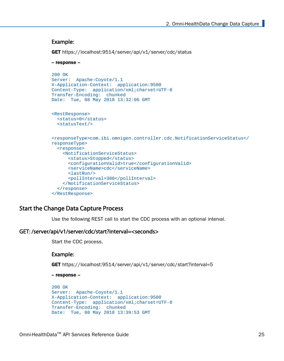#### <span id="page-24-0"></span>Example:

```
GET https://localhost:9514/server/api/v1/server/cdc/status
```

```
-- response --
200 OK
Server: Apache-Coyote/1.1
X-Application-Context: application:9500
Content-Type: application/xml;charset=UTF-8
Transfer-Encoding: chunked
Date: Tue, 08 May 2018 13:32:06 GMT
<RestResponse>
  <status>0</status>
  <statusText/>
<responseType>com.ibi.omnigen.controller.cdc.NotificationServiceStatus</
responseType>
   <response>
     <NotificationServiceStatus>
       <status>Stopped</status>
       <configurationValid>true</configurationValid>
       <serviceName>cdc</serviceName>
       <lastRun/>
       <pollInterval>300</pollInterval>
     </NotificationServiceStatus>
   </response>
</RestResponse>
```
#### Start the Change Data Capture Process

Use the following REST call to start the CDC process with an optional interval.

#### GET: /server/api/v1/server/cdc/start?interval=<seconds>

Start the CDC process.

#### Example:

GET https://localhost:9514/server/api/v1/server/cdc/start?interval=5

-- response --

```
200 OK
Server: Apache-Coyote/1.1
X-Application-Context: application:9500
Content-Type: application/xml;charset=UTF-8
Transfer-Encoding: chunked
Date: Tue, 08 May 2018 13:39:53 GMT
```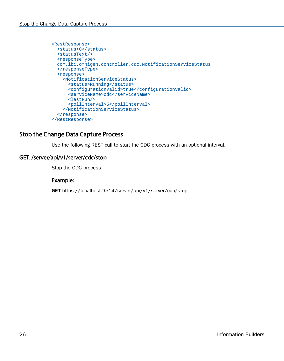```
<RestResponse>
  <status>0</status>
  <statusText/>
  <responseType>
  com.ibi.omnigen.controller.cdc.NotificationServiceStatus
   </responseType>
   <response>
     <NotificationServiceStatus>
       <status>Running</status>
       <configurationValid>true</configurationValid>
       <serviceName>cdc</serviceName>
       <lastRun/>
       <pollInterval>5</pollInterval>
     </NotificationServiceStatus>
   </response>
</RestResponse>
```
#### Stop the Change Data Capture Process

Use the following REST call to start the CDC process with an optional interval.

#### GET: /server/api/v1/server/cdc/stop

Stop the CDC process.

#### Example:

GET https://localhost:9514/server/api/v1/server/cdc/stop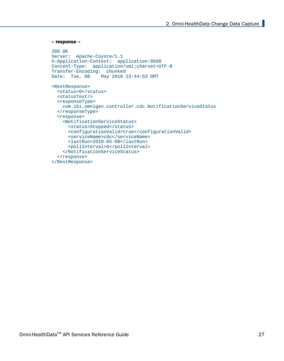```
-- response --
200 OK
Server: Apache-Coyote/1.1
X-Application-Context: application:9500
Content-Type: application/xml;charset=UTF-8
Transfer-Encoding: chunked
Date: Tue, 08 May 2018 13:44:53 GMT
<RestResponse>
  <status>0</status>
  <statusText/>
  <responseType>
    com.ibi.omnigen.controller.cdc.NotificationServiceStatus
   </responseType>
   <response>
     <NotificationServiceStatus>
       <status>Stopped</status>
       <configurationValid>true</configurationValid>
       <serviceName>cdc</serviceName>
       <lastRun>2018-05-08</lastRun>
       <pollInterval>5</pollInterval>
     </NotificationServiceStatus>
   </response>
</RestResponse>
```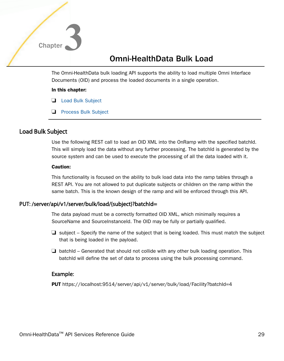<span id="page-28-0"></span>

### Omni-HealthData Bulk Load

The Omni-HealthData bulk loading API supports the ability to load multiple Omni Interface Documents (OID) and process the loaded documents in a single operation.

#### In this chapter:

- **Load Bulk Subject**
- **[Process Bulk Subject](#page-30-0)**

#### Load Bulk Subject

Use the following REST call to load an OID XML into the OnRamp with the specified batchId. This will simply load the data without any further processing. The batchId is generated by the source system and can be used to execute the processing of all the data loaded with it.

#### Caution:

This functionality is focused on the ability to bulk load data into the ramp tables through a REST API. You are not allowed to put duplicate subjects or children on the ramp within the same batch. This is the known design of the ramp and will be enforced through this API.

#### PUT: /server/api/v1/server/bulk/load/{subject}?batchId=

The data payload must be a correctly formatted OID XML, which minimally requires a SourceName and SourceInstanceId. The OID may be fully or partially qualified.

- $\Box$  subject Specify the name of the subject that is being loaded. This must match the subject that is being loaded in the payload.
- $\Box$  batchId Generated that should not collide with any other bulk loading operation. This batchId will define the set of data to process using the bulk processing command.

#### Example:

PUT https://localhost:9514/server/api/v1/server/bulk/load/Facility?batchId=4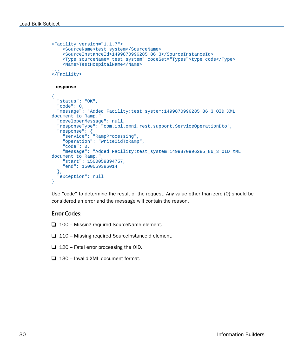```
<Facility version="1.1.7"> 
     <SourceName>test_system</SourceName> 
     <SourceInstanceId>1499870996285_86_3</SourceInstanceId> 
     <Type sourceName="test_system" codeSet="Types">type_code</Type> 
     <Name>TestHospitalName</Name>
... 
</Facility>
-- response --
{
   "status": "OK",
   "code": 0,
  "message": "Added Facility:test_system:1499870996285_86_3 OID XML 
document to Ramp.",
   "developerMessage": null,
   "responseType": "com.ibi.omni.rest.support.ServiceOperationDto",
   "response": {
     "service": "RampProcessing",
     "operation": "writeOidToRamp",
     "code": 0,
     "message": "Added Facility:test_system:1499870996285_86_3 OID XML 
document to Ramp.",
     "start": 1500059394757,
     "end": 1500059396014
   },
   "exception": null
}
```
Use "code" to determine the result of the request. Any value other than zero (0) should be considered an error and the message will contain the reason.

#### Error Codes:

- $\Box$  100 Missing required SourceName element.
- $\Box$  110 Missing required SourceInstanceId element.
- $\Box$  120 Fatal error processing the OID.
- $\Box$  130 Invalid XML document format.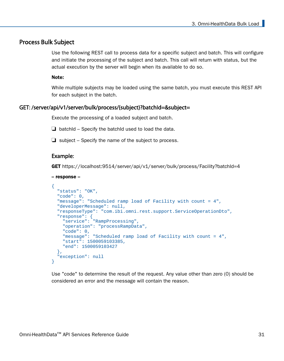#### <span id="page-30-0"></span>Process Bulk Subject

Use the following REST call to process data for a specific subject and batch. This will configure and initiate the processing of the subject and batch. This call will return with status, but the actual execution by the server will begin when its available to do so.

#### Note:

While multiple subjects may be loaded using the same batch, you must execute this REST API for each subject in the batch.

#### GET: /server/api/v1/server/bulk/process/{subject}?batchId=&subject=

Execute the processing of a loaded subject and batch.

 $\Box$  batchId – Specify the batchId used to load the data.

 $\Box$  subject – Specify the name of the subject to process.

#### Example:

GET https://localhost:9514/server/api/v1/server/bulk/process/Facility?batchId=4

```
-- response --
```

```
{
  "status": "OK",
  "code": 0,
  "message": "Scheduled ramp load of Facility with count = 4",
  "developerMessage": null,
   "responseType": "com.ibi.omni.rest.support.ServiceOperationDto",
 "response": {
 "service": "RampProcessing",
     "operation": "processRampData",
     "code": 0,
     "message": "Scheduled ramp load of Facility with count = 4",
     "start": 1500059103385,
     "end": 1500059103427
   },
   "exception": null
}
```
Use "code" to determine the result of the request. Any value other than zero (0) should be considered an error and the message will contain the reason.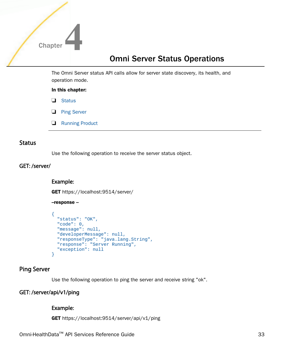<span id="page-32-0"></span>

### Omni Server Status Operations

The Omni Server status API calls allow for server state discovery, its health, and operation mode.

#### In this chapter:

- Status
- **Ping Server**
- [Running Product](#page-33-0)

#### **Status**

Use the following operation to receive the server status object.

#### GET: /server/

#### Example:

GET https://localhost:9514/server/

#### --response --

```
{
  "status": "OK",
  "code": 0,
  "message": null,
  "developerMessage": null,
  "responseType": "java.lang.String",
  "response": "Server Running",
  "exception": null
}
```
#### Ping Server

Use the following operation to ping the server and receive string "ok".

#### GET: /server/api/v1/ping

#### Example:

GET https://localhost:9514/server/api/v1/ping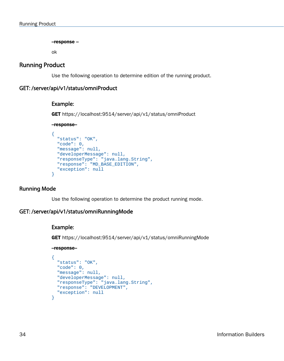--response --

ok

#### <span id="page-33-0"></span>Running Product

Use the following operation to determine edition of the running product.

#### GET: /server/api/v1/status/omniProduct

#### Example:

GET https://localhost:9514/server/api/v1/status/omniProduct

#### --response--

```
{
  "status": "OK",
  "code": 0,
  "message": null,
  "developerMessage": null,
  "responseType": "java.lang.String",
  "response": "MD_BASE_EDITION",
  "exception": null
}
```
#### Running Mode

Use the following operation to determine the product running mode.

#### GET: /server/api/v1/status/omniRunningMode

#### Example:

GET https://localhost:9514/server/api/v1/status/omniRunningMode

--response--

```
{
  "status": "OK",
  "code": 0,
  "message": null,
  "developerMessage": null,
  "responseType": "java.lang.String",
  "response": "DEVELOPMENT",
  "exception": null
}
```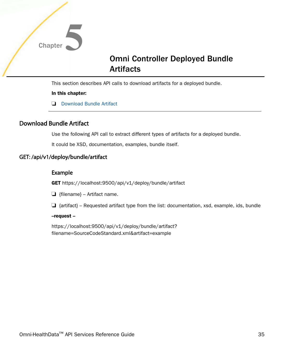<span id="page-34-0"></span>

### Omni Controller Deployed Bundle Artifacts

This section describes API calls to download artifacts for a deployed bundle.

#### In this chapter:

Download Bundle Artifact

### Download Bundle Artifact

Use the following API call to extract different types of artifacts for a deployed bundle.

It could be XSD, documentation, examples, bundle itself.

#### GET: /api/v1/deploy/bundle/artifact

#### Example

GET https://localhost:9500/api/v1/deploy/bundle/artifact

 $\Box$  {filename} – Artifact name.

 $\Box$  {artifact} – Requested artifact type from the list: documentation, xsd, example, ids, bundle

#### --request --

https://localhost:9500/api/v1/deploy/bundle/artifact? filename=SourceCodeStandard.xml&artifact=example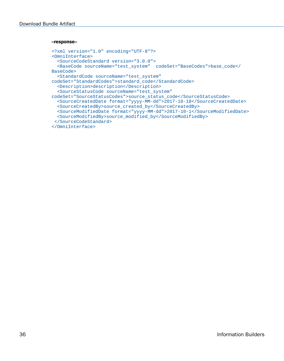#### --response--

```
<?xml version="1.0" encoding="UTF-8"?>
<OmniInterface>
   <SourceCodeStandard version="3.0.0">
  <BaseCode sourceName="test_system" codeSet="BaseCodes">base_code</
BaseCode>
  <StandardCode sourceName="test_system" 
codeSet="StandardCodes">standard_code</StandardCode>
  <Description>description</Description>
  <SourceStatusCode sourceName="test_system" 
codeSet="SourceStatusCodes">source_status_code</SourceStatusCode>
  <SourceCreatedDate format="yyyy-MM-dd">2017-10-18</SourceCreatedDate>
  <SourceCreatedBy>source_created_by</SourceCreatedBy>
  <SourceModifiedDate format="yyyy-MM-dd">2017-10-1</SourceModifiedDate>
  <SourceModifiedBy>source_modified_by</SourceModifiedBy>
  </SourceCodeStandard>
</OmniInterface>
```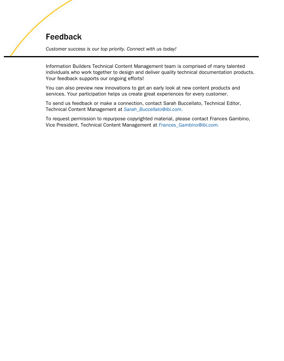### Feedback

*Customer success is our top priority. Connect with us today!*

Information Builders Technical Content Management team is comprised of many talented individuals who work together to design and deliver quality technical documentation products. Your feedback supports our ongoing efforts!

You can also preview new innovations to get an early look at new content products and services. Your participation helps us create great experiences for every customer.

To send us feedback or make a connection, contact Sarah Buccellato, Technical Editor, Technical Content Management at *Sarah\_Buccellato@ibi.com.*

To request permission to repurpose copyrighted material, please contact Frances Gambino, Vice President, Technical Content Management at *Frances\_Gambino@ibi.com.*